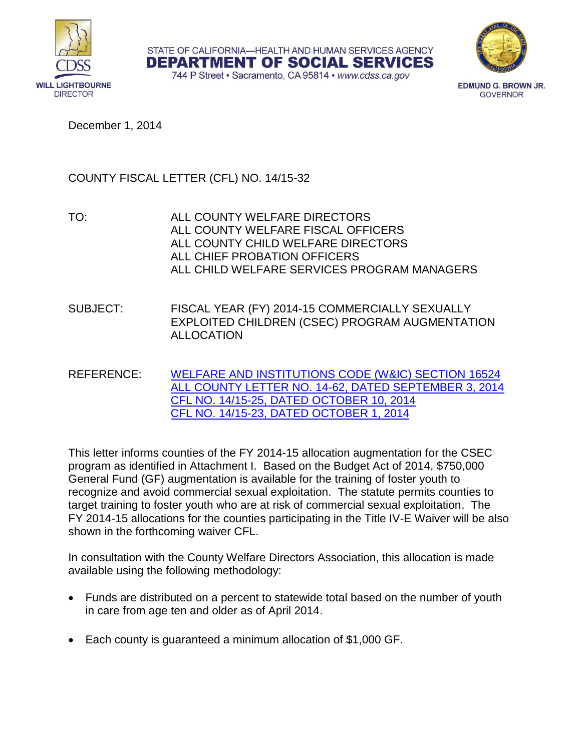

STATE OF CALIFORNIA-HEALTH AND HUMAN SERVICES AGENCY **DEPARTMENT OF SOCIAL SERVICES** 



744 P Street · Sacramento, CA 95814 · www.cdss.ca.gov

**EDMUND G. BROWN JR. GOVERNOR** 

December 1, 2014

## COUNTY FISCAL LETTER (CFL) NO. 14/15-32

- TO: ALL COUNTY WELFARE DIRECTORS ALL COUNTY WELFARE FISCAL OFFICERS ALL COUNTY CHILD WELFARE DIRECTORS ALL CHIEF PROBATION OFFICERS ALL CHILD WELFARE SERVICES PROGRAM MANAGERS
- SUBJECT: FISCAL YEAR (FY) 2014-15 COMMERCIALLY SEXUALLY EXPLOITED CHILDREN (CSEC) PROGRAM AUGMENTATION ALLOCATION
- REFERENCE: [WELFARE AND INSTITUTIONS CODE \(W&IC\) SECTION 16524](http://www.leginfo.ca.gov/cgi-bin/displaycode?section=wic&group=16001-17000&file=16524.6-16524.11) [ALL COUNTY LETTER NO. 14-62, DATED SEPTEMBER 3, 2014](http://www.cdss.ca.gov/lettersnotices/EntRes/getinfo/acl/2014/14-62.Pdf) [CFL NO. 14/15-25, DATED OCTOBER 10, 2014](http://www.cdss.ca.gov/lettersnotices/EntRes/getinfo/cfl/2014-15/14-15_25.pdf) [CFL NO. 14/15-23, DATED OCTOBER 1, 2014](http://www.cdss.ca.gov/lettersnotices/EntRes/getinfo/cfl/2014-15/14-15_23.pdf)

This letter informs counties of the FY 2014-15 allocation augmentation for the CSEC program as identified in Attachment I. Based on the Budget Act of 2014, \$750,000 General Fund (GF) augmentation is available for the training of foster youth to recognize and avoid commercial sexual exploitation. The statute permits counties to target training to foster youth who are at risk of commercial sexual exploitation. The FY 2014-15 allocations for the counties participating in the Title IV-E Waiver will be also shown in the forthcoming waiver CFL.

In consultation with the County Welfare Directors Association, this allocation is made available using the following methodology:

- Funds are distributed on a percent to statewide total based on the number of youth in care from age ten and older as of April 2014.
- Each county is guaranteed a minimum allocation of \$1,000 GF.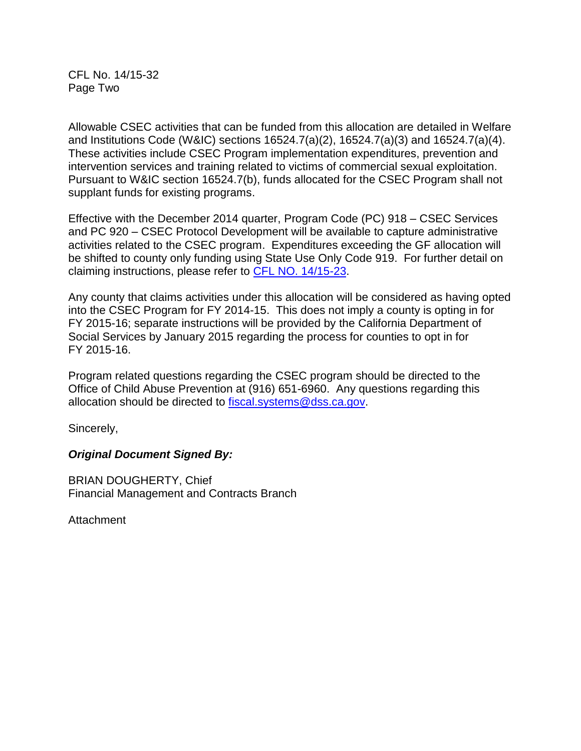CFL No. 14/15-32 Page Two

Allowable CSEC activities that can be funded from this allocation are detailed in Welfare and Institutions Code (W&IC) sections 16524.7(a)(2), 16524.7(a)(3) and 16524.7(a)(4). These activities include CSEC Program implementation expenditures, prevention and intervention services and training related to victims of commercial sexual exploitation. Pursuant to W&IC section 16524.7(b), funds allocated for the CSEC Program shall not supplant funds for existing programs.

Effective with the December 2014 quarter, Program Code (PC) 918 – CSEC Services and PC 920 – CSEC Protocol Development will be available to capture administrative activities related to the CSEC program. Expenditures exceeding the GF allocation will be shifted to county only funding using State Use Only Code 919. For further detail on claiming instructions, please refer to [CFL NO. 14/15-23.](http://www.cdss.ca.gov/lettersnotices/EntRes/getinfo/cfl/2014-15/14-15_23.pdf)

Any county that claims activities under this allocation will be considered as having opted into the CSEC Program for FY 2014-15. This does not imply a county is opting in for FY 2015-16; separate instructions will be provided by the California Department of Social Services by January 2015 regarding the process for counties to opt in for FY 2015-16.

Program related questions regarding the CSEC program should be directed to the Office of Child Abuse Prevention at (916) 651-6960. Any questions regarding this allocation should be directed to [fiscal.systems@dss.ca.gov.](mailto:fiscal.systems@dss.ca.gov)

Sincerely,

## *Original Document Signed By:*

BRIAN DOUGHERTY, Chief Financial Management and Contracts Branch

Attachment